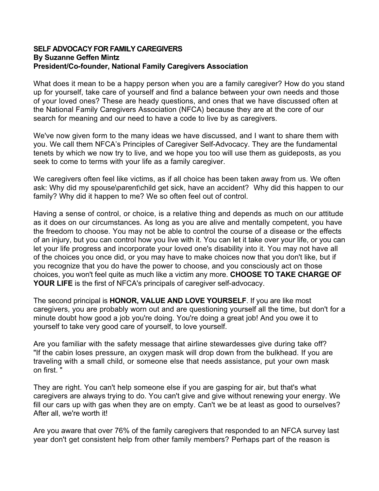## **SELF ADVOCACY FOR FAMILY CAREGIVERS By Suzanne Geffen Mintz President/Co-founder, National Family Caregivers Association**

What does it mean to be a happy person when you are a family caregiver? How do you stand up for yourself, take care of yourself and find a balance between your own needs and those of your loved ones? These are heady questions, and ones that we have discussed often at the National Family Caregivers Association (NFCA) because they are at the core of our search for meaning and our need to have a code to live by as caregivers.

We've now given form to the many ideas we have discussed, and I want to share them with you. We call them NFCA's Principles of Caregiver Self-Advocacy. They are the fundamental tenets by which we now try to live, and we hope you too will use them as guideposts, as you seek to come to terms with your life as a family caregiver.

We caregivers often feel like victims, as if all choice has been taken away from us. We often ask: Why did my spouse\parent\child get sick, have an accident? Why did this happen to our family? Why did it happen to me? We so often feel out of control.

Having a sense of control, or choice, is a relative thing and depends as much on our attitude as it does on our circumstances. As long as you are alive and mentally competent, you have the freedom to choose. You may not be able to control the course of a disease or the effects of an injury, but you can control how you live with it. You can let it take over your life, or you can let your life progress and incorporate your loved one's disability into it. You may not have all of the choices you once did, or you may have to make choices now that you don't like, but if you recognize that you do have the power to choose, and you consciously act on those choices, you won't feel quite as much like a victim any more. **CHOOSE TO TAKE CHARGE OF YOUR LIFE** is the first of NFCA's principals of caregiver self-advocacy.

The second principal is **HONOR, VALUE AND LOVE YOURSELF**. If you are like most caregivers, you are probably worn out and are questioning yourself all the time, but don't for a minute doubt how good a job you're doing. You're doing a great job! And you owe it to yourself to take very good care of yourself, to love yourself.

Are you familiar with the safety message that airline stewardesses give during take off? "If the cabin loses pressure, an oxygen mask will drop down from the bulkhead. If you are traveling with a small child, or someone else that needs assistance, put your own mask on first. "

They are right. You can't help someone else if you are gasping for air, but that's what caregivers are always trying to do. You can't give and give without renewing your energy. We fill our cars up with gas when they are on empty. Can't we be at least as good to ourselves? After all, we're worth it!

Are you aware that over 76% of the family caregivers that responded to an NFCA survey last year don't get consistent help from other family members? Perhaps part of the reason is